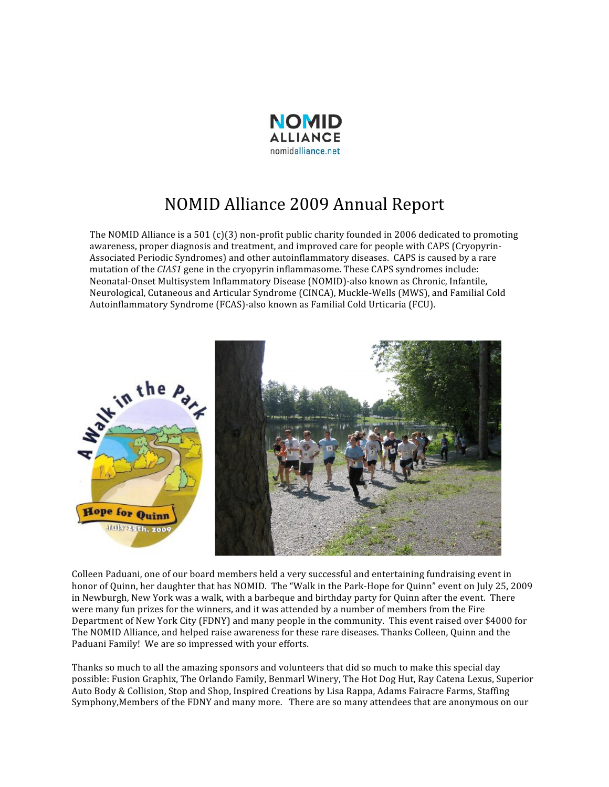

## NOMID Alliance 2009 Annual Report

The NOMID Alliance is a 501 (c)(3) non-profit public charity founded in 2006 dedicated to promoting awareness, proper diagnosis and treatment, and improved care for people with CAPS (Cryopyrin‐ Associated Periodic Syndromes) and other autoinflammatory diseases. CAPS is caused by a rare mutation of the *CIAS1* gene in the cryopyrin inflammasome. These CAPS syndromes include: Neonatal‐Onset Multisystem Inflammatory Disease (NOMID)‐also known as Chronic, Infantile, Neurological, Cutaneous and Articular Syndrome (CINCA), Muckle‐Wells (MWS), and Familial Cold Autoinflammatory Syndrome (FCAS)‐also known as Familial Cold Urticaria (FCU).



Colleen Paduani, one of our board members held a very successful and entertaining fundraising event in honor of Quinn, her daughter that has NOMID. The "Walk in the Park-Hope for Quinn" event on July 25, 2009 in Newburgh, New York was a walk, with a barbeque and birthday party for Quinn after the event. There were many fun prizes for the winners, and it was attended by a number of members from the Fire Department of New York City (FDNY) and many people in the community. This event raised over \$4000 for The NOMID Alliance, and helped raise awareness for these rare diseases. Thanks Colleen, Quinn and the Paduani Family! We are so impressed with your efforts.

Thanks so much to all the amazing sponsors and volunteers that did so much to make this special day possible: Fusion Graphix, The Orlando Family, Benmarl Winery, The Hot Dog Hut, Ray Catena Lexus, Superior Auto Body & Collision, Stop and Shop, Inspired Creations by Lisa Rappa, Adams Fairacre Farms, Staffing Symphony,Members of the FDNY and many more. There are so many attendees that are anonymous on our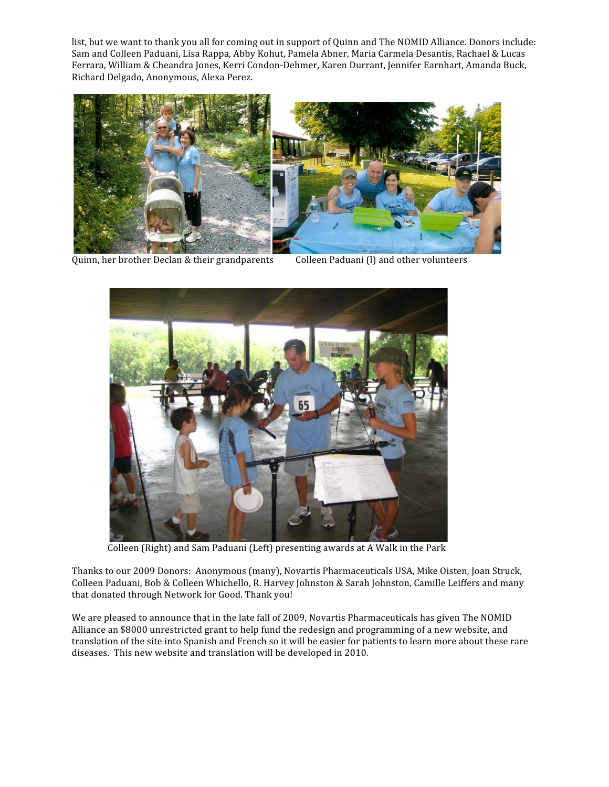list, but we want to thank you all for coming out in support of Quinn and The NOMID Alliance. Donors include: Sam and Colleen Paduani, Lisa Rappa, Abby Kohut, Pamela Abner, Maria Carmela Desantis, Rachael & Lucas Ferrara, William & Cheandra Jones, Kerri Condon‐Dehmer, Karen Durrant, Jennifer Earnhart, Amanda Buck, Richard Delgado, Anonymous, Alexa Perez.





Quinn, her brother Declan & their grandparents Colleen Paduani (l) and other volunteers



Colleen (Right) and Sam Paduani (Left) presenting awards at A Walk in the Park

Thanks to our 2009 Donors: Anonymous (many), Novartis Pharmaceuticals USA, Mike Oisten, Joan Struck, Colleen Paduani, Bob & Colleen Whichello, R. Harvey Johnston & Sarah Johnston, Camille Leiffers and many that donated through Network for Good. Thank you!

We are pleased to announce that in the late fall of 2009, Novartis Pharmaceuticals has given The NOMID Alliance an \$8000 unrestricted grant to help fund the redesign and programming of a new website, and translation of the site into Spanish and French so it will be easier for patients to learn more about these rare diseases. This new website and translation will be developed in 2010.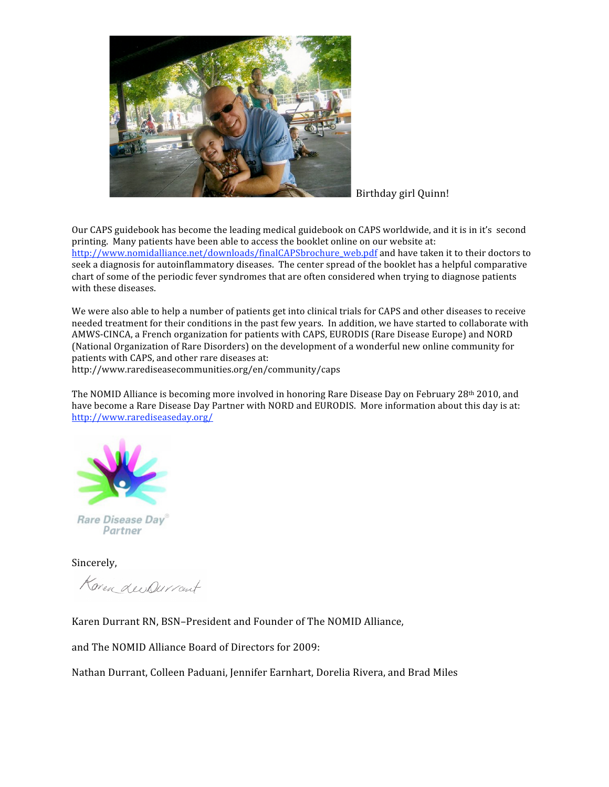

Birthday girl Quinn!

Our CAPS guidebook has become the leading medical guidebook on CAPS worldwide, and it is in it's second printing. Many patients have been able to access the booklet online on our website at: http://www.nomidalliance.net/downloads/finalCAPSbrochure\_web.pdf and have taken it to their doctors to seek a diagnosis for autoinflammatory diseases. The center spread of the booklet has a helpful comparative chart of some of the periodic fever syndromes that are often considered when trying to diagnose patients with these diseases.

We were also able to help a number of patients get into clinical trials for CAPS and other diseases to receive needed treatment for their conditions in the past few years. In addition, we have started to collaborate with AMWS‐CINCA, a French organization for patients with CAPS, EURODIS (Rare Disease Europe) and NORD (National Organization of Rare Disorders) on the development of a wonderful new online community for patients with CAPS, and other rare diseases at:

http://www.rarediseasecommunities.org/en/community/caps

The NOMID Alliance is becoming more involved in honoring Rare Disease Day on February 28th 2010, and have become a Rare Disease Day Partner with NORD and EURODIS. More information about this day is at: http://www.rarediseaseday.org/



Rare Disease Day® Partner

Sincerely,

Korea LeeDurrant

Karen Durrant RN, BSN–President and Founder of The NOMID Alliance,

and The NOMID Alliance Board of Directors for 2009:

Nathan Durrant, Colleen Paduani, Jennifer Earnhart, Dorelia Rivera, and Brad Miles